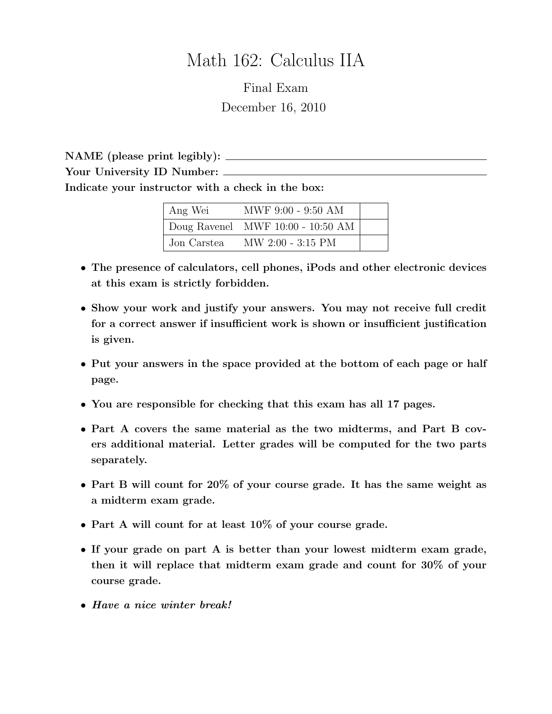# Math 162: Calculus IIA

Final Exam December 16, 2010

NAME (please print legibly): Your University ID Number: Indicate your instructor with a check in the box:

| Ang Wei     | MWF 9:00 - 9:50 AM                  |  |
|-------------|-------------------------------------|--|
|             | Doug Ravenel MWF $10:00 - 10:50$ AM |  |
| Jon Carstea | $MW 2:00 - 3:15 PM$                 |  |

- The presence of calculators, cell phones, iPods and other electronic devices at this exam is strictly forbidden.
- Show your work and justify your answers. You may not receive full credit for a correct answer if insufficient work is shown or insufficient justification is given.
- Put your answers in the space provided at the bottom of each page or half page.
- You are responsible for checking that this exam has all 17 pages.
- Part A covers the same material as the two midterms, and Part B covers additional material. Letter grades will be computed for the two parts separately.
- Part B will count for 20% of your course grade. It has the same weight as a midterm exam grade.
- Part A will count for at least 10% of your course grade.
- If your grade on part A is better than your lowest midterm exam grade, then it will replace that midterm exam grade and count for 30% of your course grade.
- Have a nice winter break!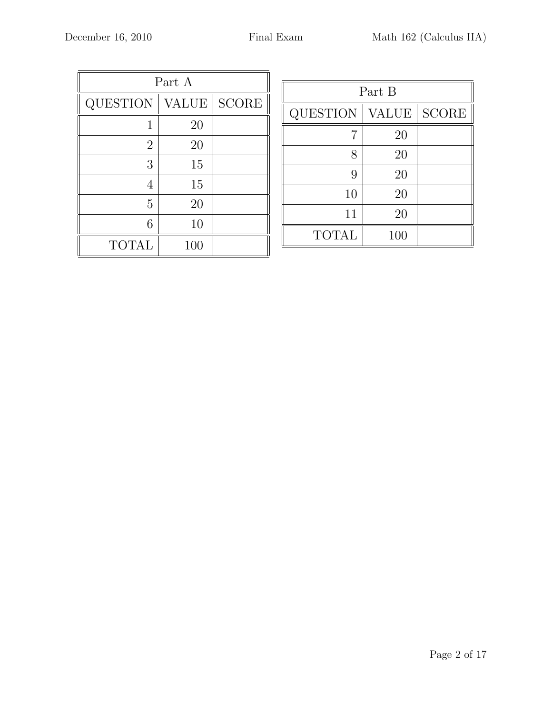| Part A          |              |              |  |  |
|-----------------|--------------|--------------|--|--|
| <b>QUESTION</b> | <b>VALUE</b> | <b>SCORE</b> |  |  |
| 1               | 20           |              |  |  |
| $\overline{2}$  | 20           |              |  |  |
| 3               | 15           |              |  |  |
| 4               | 15           |              |  |  |
| 5               | 20           |              |  |  |
| 6               | 10           |              |  |  |
| <b>TOTAL</b>    | 100          |              |  |  |

| Part B          |              |              |  |  |
|-----------------|--------------|--------------|--|--|
| <b>QUESTION</b> | <b>VALUE</b> | <b>SCORE</b> |  |  |
| 7               | 20           |              |  |  |
| 8               | 20           |              |  |  |
| 9               | 20           |              |  |  |
| 10              | 20           |              |  |  |
| 11              | 20           |              |  |  |
| <b>TOTAL</b>    | 100          |              |  |  |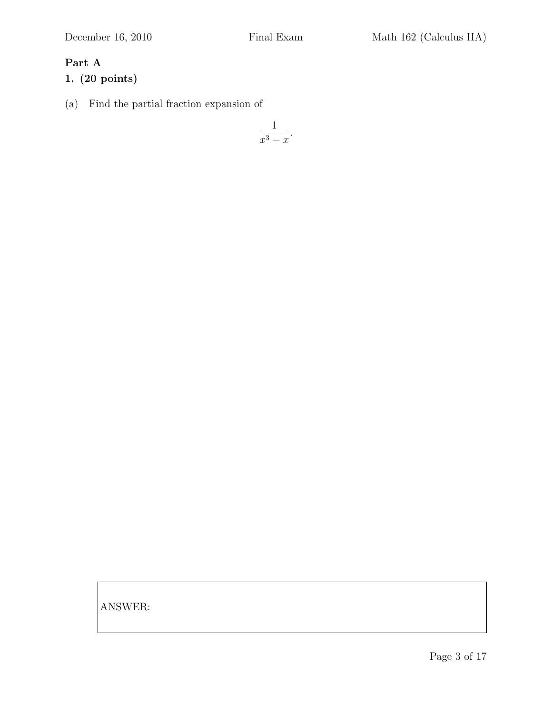## Part A

#### 1. (20 points)

(a) Find the partial fraction expansion of

$$
\frac{1}{x^3 - x}.
$$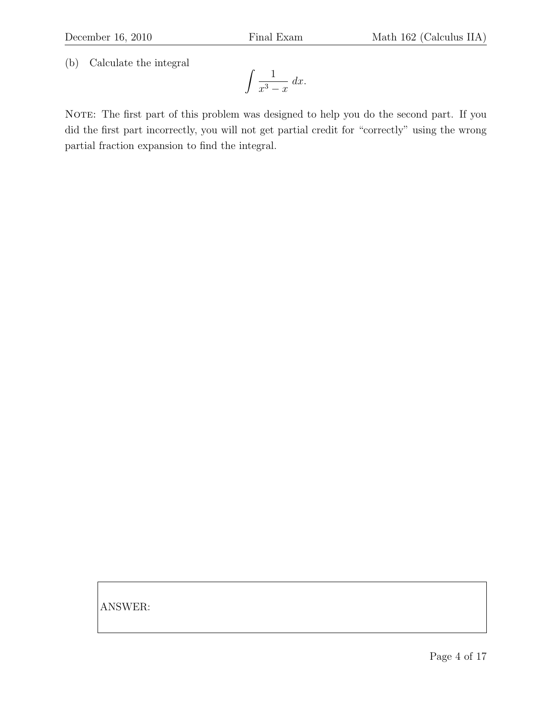(b) Calculate the integral

$$
\int \frac{1}{x^3 - x} \, dx.
$$

NOTE: The first part of this problem was designed to help you do the second part. If you did the first part incorrectly, you will not get partial credit for "correctly" using the wrong partial fraction expansion to find the integral.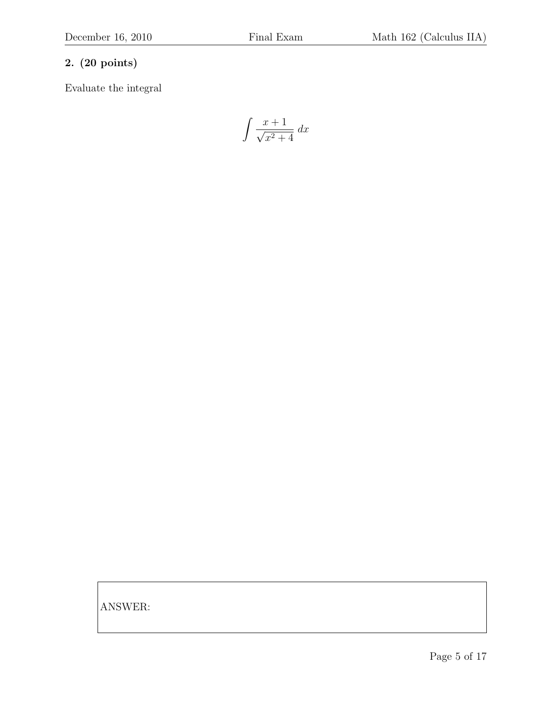Evaluate the integral

$$
\int \frac{x+1}{\sqrt{x^2+4}} dx
$$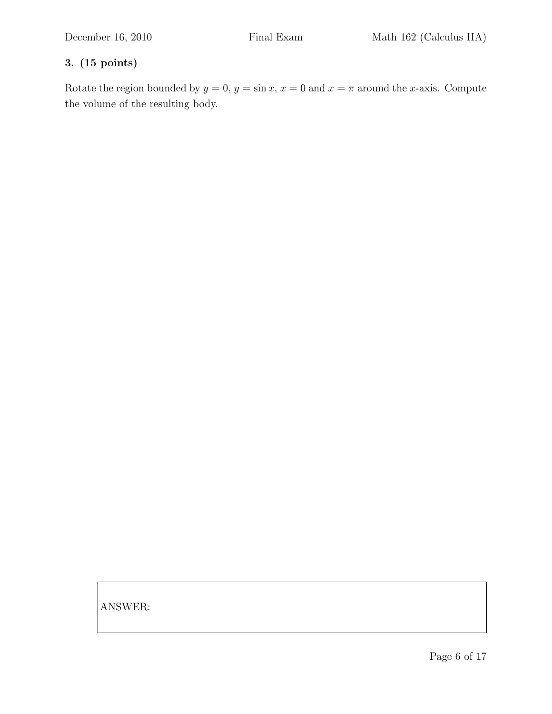### 3. (15 points)

Rotate the region bounded by  $y = 0$ ,  $y = \sin x$ ,  $x = 0$  and  $x = \pi$  around the x-axis. Compute the volume of the resulting body.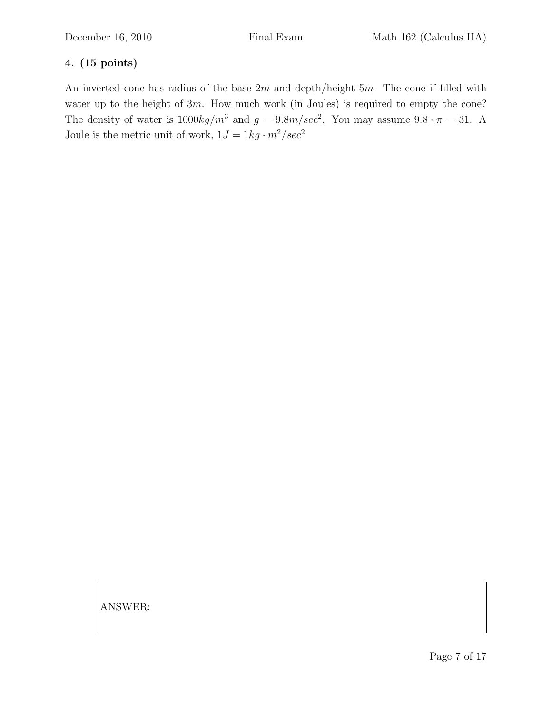### 4. (15 points)

An inverted cone has radius of the base  $2m$  and depth/height  $5m$ . The cone if filled with water up to the height of  $3m$ . How much work (in Joules) is required to empty the cone? The density of water is  $1000 kg/m^3$  and  $g = 9.8 m/sec^2$ . You may assume  $9.8 \cdot \pi = 31$ . A Joule is the metric unit of work,  $1J=1kg\cdot m^2/sec^2$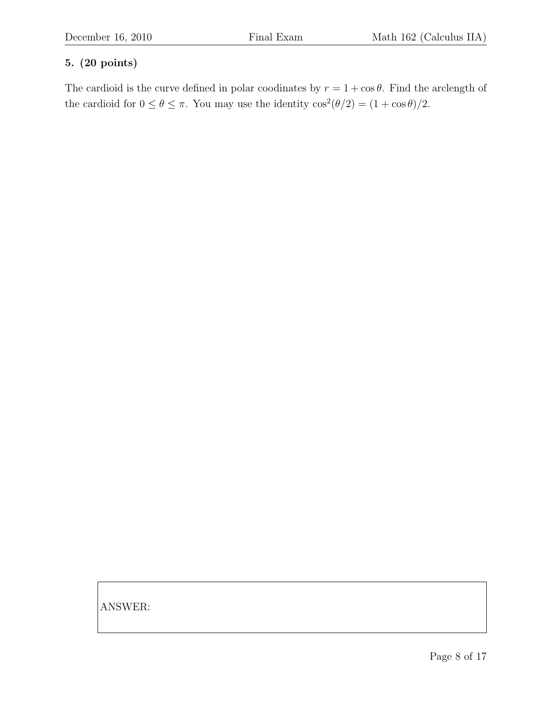The cardioid is the curve defined in polar coodinates by  $r = 1 + \cos \theta$ . Find the arclength of the cardioid for  $0 \le \theta \le \pi$ . You may use the identity  $\cos^2(\theta/2) = (1 + \cos \theta)/2$ .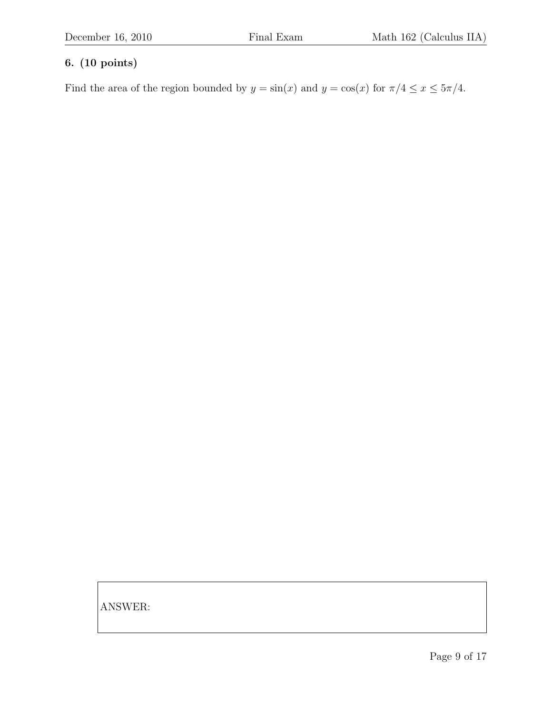Find the area of the region bounded by  $y = sin(x)$  and  $y = cos(x)$  for  $\pi/4 \le x \le 5\pi/4$ .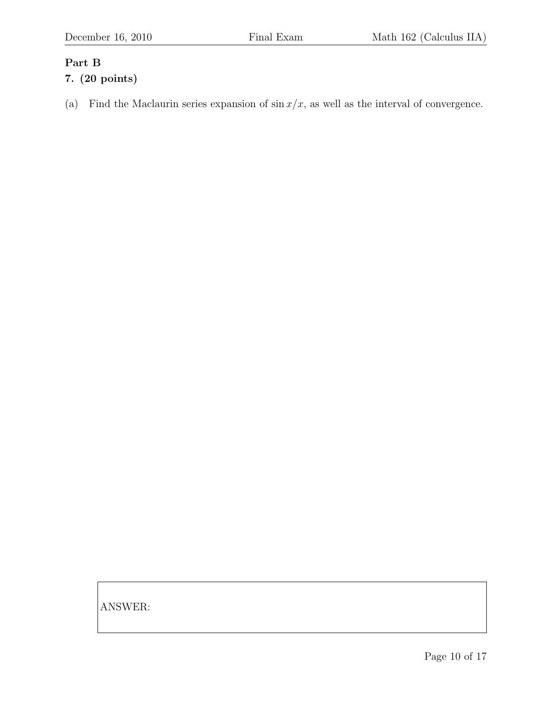#### Part B

### 7. (20 points)

(a) Find the Maclaurin series expansion of  $\sin x/x$ , as well as the interval of convergence.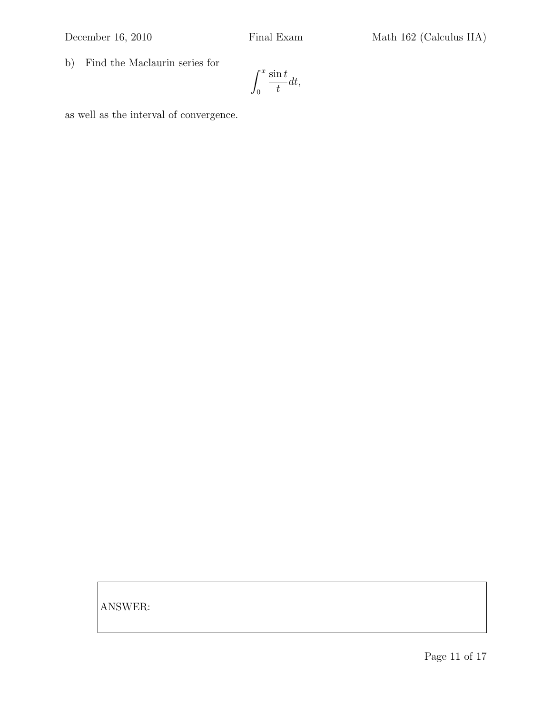b) Find the Maclaurin series for

$$
\int_0^x \frac{\sin t}{t} dt,
$$

as well as the interval of convergence.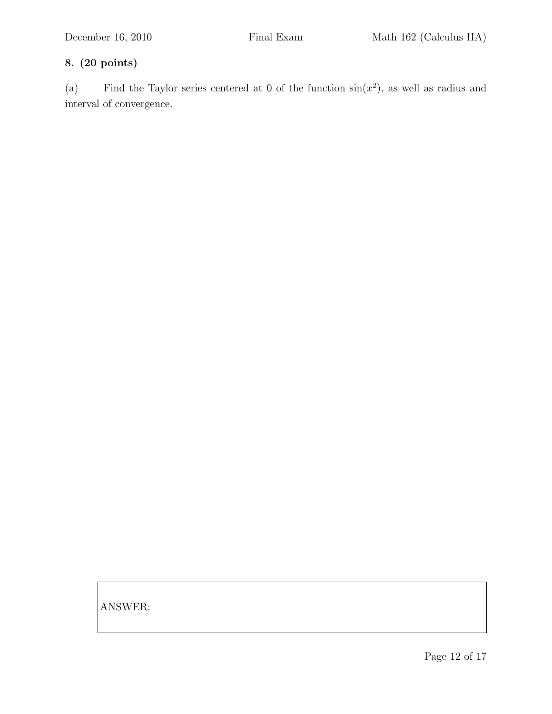(a) Find the Taylor series centered at 0 of the function  $sin(x^2)$ , as well as radius and interval of convergence.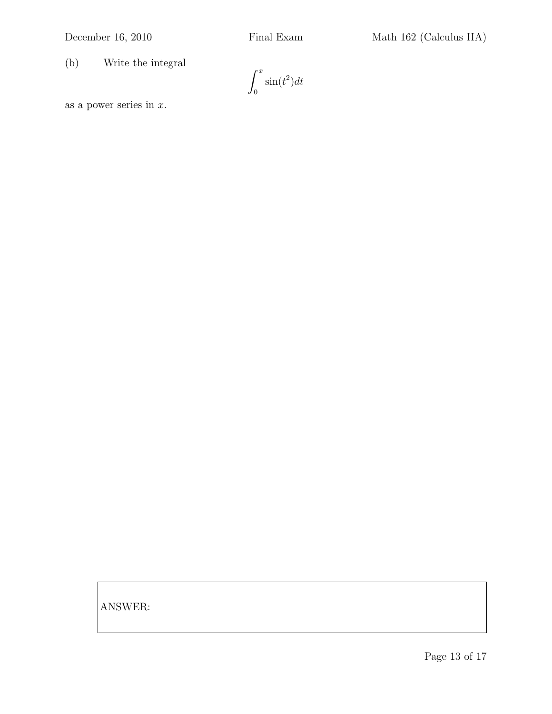(b) Write the integral

 $\int_0^x$ 0  $\sin(t^2)dt$ 

as a power series in  $x$ .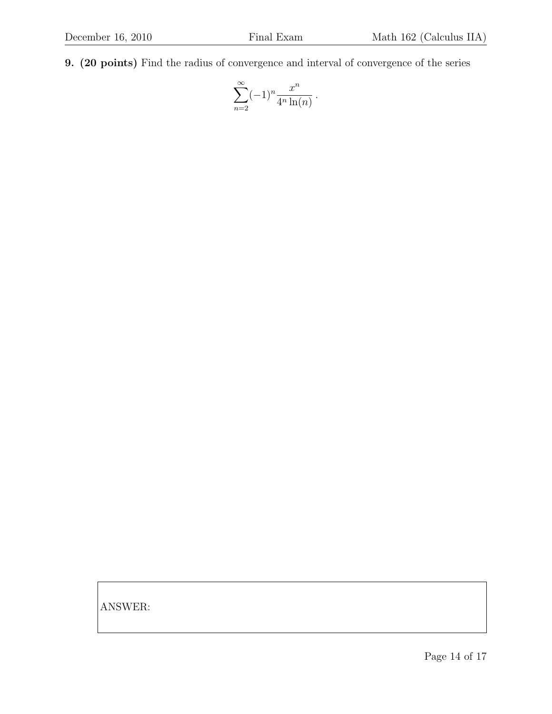9. (20 points) Find the radius of convergence and interval of convergence of the series

$$
\sum_{n=2}^{\infty} (-1)^n \frac{x^n}{4^n \ln(n)}.
$$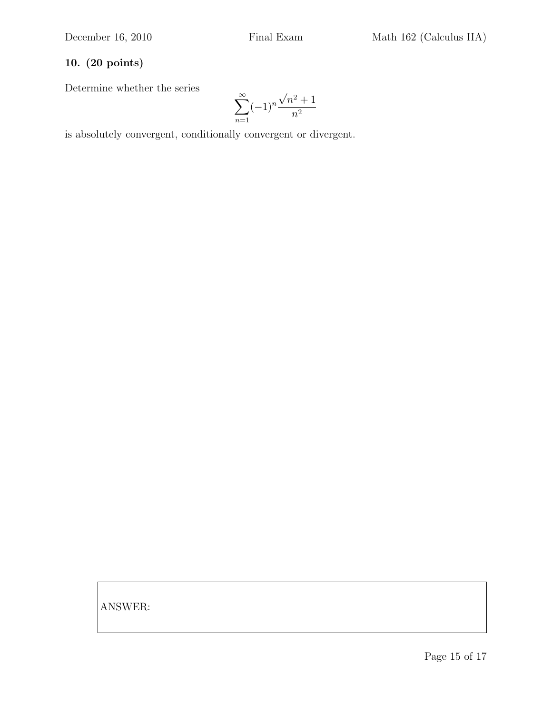Determine whether the series

$$
\sum_{n=1}^{\infty} (-1)^n \frac{\sqrt{n^2 + 1}}{n^2}
$$

is absolutely convergent, conditionally convergent or divergent.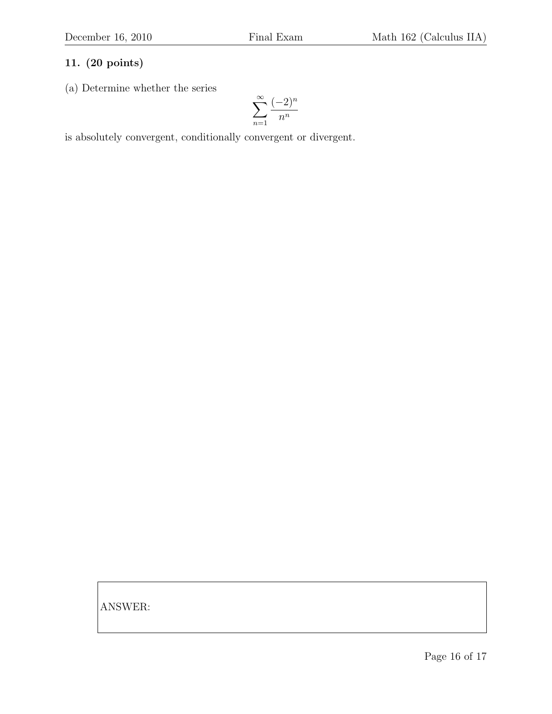(a) Determine whether the series

$$
\sum_{n=1}^{\infty} \frac{(-2)^n}{n^n}
$$

is absolutely convergent, conditionally convergent or divergent.